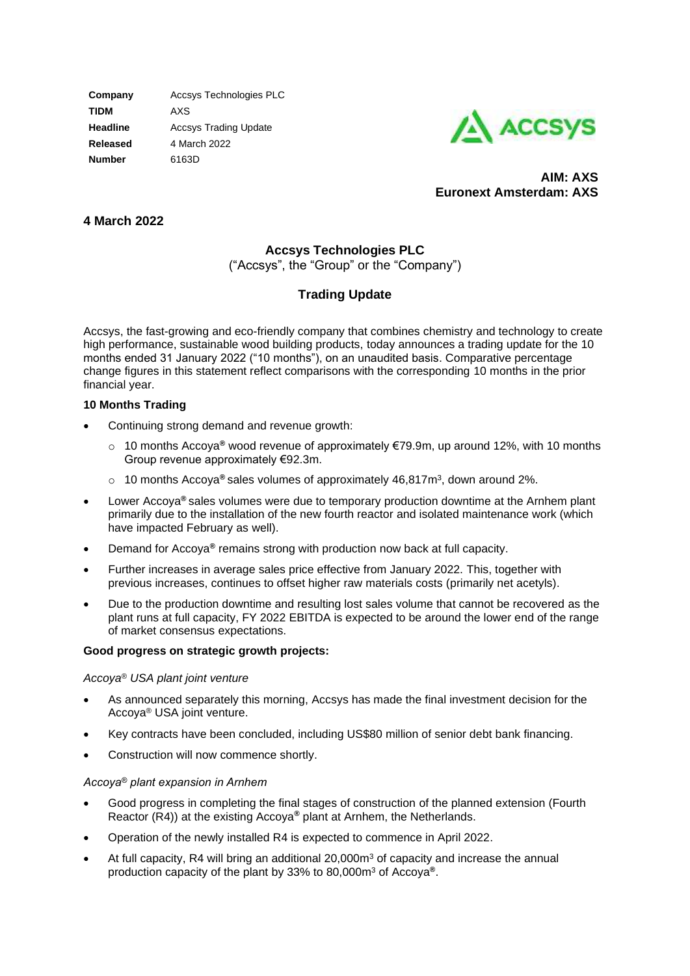**Company** Accsys Technologies PLC **TIDM** AXS **Headline Accsys Trading Update Released** 4 March 2022 **Number** 6163D



**AIM: AXS Euronext Amsterdam: AXS**

## **4 March 2022**

# **Accsys Technologies PLC**

("Accsys", the "Group" or the "Company")

# **Trading Update**

Accsys, the fast-growing and eco-friendly company that combines chemistry and technology to create high performance, sustainable wood building products, today announces a trading update for the 10 months ended 31 January 2022 ("10 months"), on an unaudited basis. Comparative percentage change figures in this statement reflect comparisons with the corresponding 10 months in the prior financial year.

## **10 Months Trading**

- Continuing strong demand and revenue growth:
	- o 10 months Accoya**®** wood revenue of approximately €79.9m, up around 12%, with 10 months Group revenue approximately €92.3m.
	- o 10 months Accoya**®** sales volumes of approximately 46,817m<sup>3</sup> , down around 2%.
- Lower Accoya**®** sales volumes were due to temporary production downtime at the Arnhem plant primarily due to the installation of the new fourth reactor and isolated maintenance work (which have impacted February as well).
- Demand for Accoya**®** remains strong with production now back at full capacity.
- Further increases in average sales price effective from January 2022. This, together with previous increases, continues to offset higher raw materials costs (primarily net acetyls).
- Due to the production downtime and resulting lost sales volume that cannot be recovered as the plant runs at full capacity, FY 2022 EBITDA is expected to be around the lower end of the range of market consensus expectations.

## **Good progress on strategic growth projects:**

## *Accoya® USA plant joint venture*

- As announced separately this morning, Accsys has made the final investment decision for the Accoya® USA joint venture.
- Key contracts have been concluded, including US\$80 million of senior debt bank financing.
- Construction will now commence shortly.

## *Accoya® plant expansion in Arnhem*

- Good progress in completing the final stages of construction of the planned extension (Fourth Reactor (R4)) at the existing Accoya**®** plant at Arnhem, the Netherlands.
- Operation of the newly installed R4 is expected to commence in April 2022.
- At full capacity, R4 will bring an additional  $20,000<sup>m</sup>$  of capacity and increase the annual production capacity of the plant by 33% to 80,000m<sup>3</sup> of Accoya**®**.